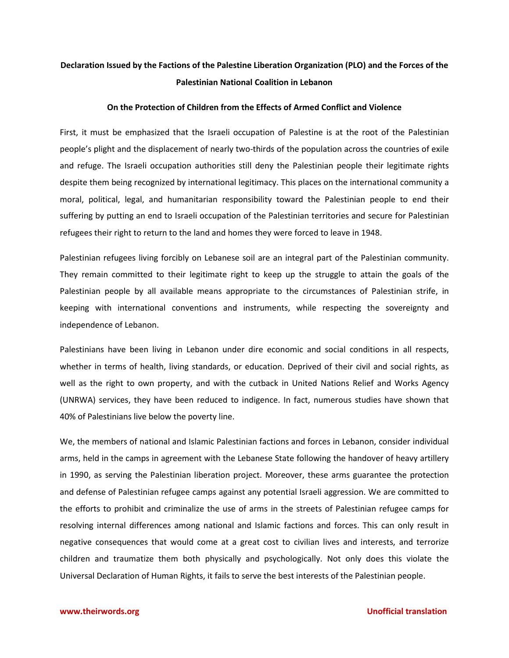# **Declaration Issued by the Factions of the Palestine Liberation Organization (PLO) and the Forces of the Palestinian National Coalition in Lebanon**

### **On the Protection of Children from the Effects of Armed Conflict and Violence**

First, it must be emphasized that the Israeli occupation of Palestine is at the root of the Palestinian people's plight and the displacement of nearly two-thirds of the population across the countries of exile and refuge. The Israeli occupation authorities still deny the Palestinian people their legitimate rights despite them being recognized by international legitimacy. This places on the international community a moral, political, legal, and humanitarian responsibility toward the Palestinian people to end their suffering by putting an end to Israeli occupation of the Palestinian territories and secure for Palestinian refugees their right to return to the land and homes they were forced to leave in 1948.

Palestinian refugees living forcibly on Lebanese soil are an integral part of the Palestinian community. They remain committed to their legitimate right to keep up the struggle to attain the goals of the Palestinian people by all available means appropriate to the circumstances of Palestinian strife, in keeping with international conventions and instruments, while respecting the sovereignty and independence of Lebanon.

Palestinians have been living in Lebanon under dire economic and social conditions in all respects, whether in terms of health, living standards, or education. Deprived of their civil and social rights, as well as the right to own property, and with the cutback in United Nations Relief and Works Agency (UNRWA) services, they have been reduced to indigence. In fact, numerous studies have shown that 40% of Palestinians live below the poverty line.

We, the members of national and Islamic Palestinian factions and forces in Lebanon, consider individual arms, held in the camps in agreement with the Lebanese State following the handover of heavy artillery in 1990, as serving the Palestinian liberation project. Moreover, these arms guarantee the protection and defense of Palestinian refugee camps against any potential Israeli aggression. We are committed to the efforts to prohibit and criminalize the use of arms in the streets of Palestinian refugee camps for resolving internal differences among national and Islamic factions and forces. This can only result in negative consequences that would come at a great cost to civilian lives and interests, and terrorize children and traumatize them both physically and psychologically. Not only does this violate the Universal Declaration of Human Rights, it fails to serve the best interests of the Palestinian people.

### **[www.theirwords.org](http://www.theirwords.org/) Unofficial translation**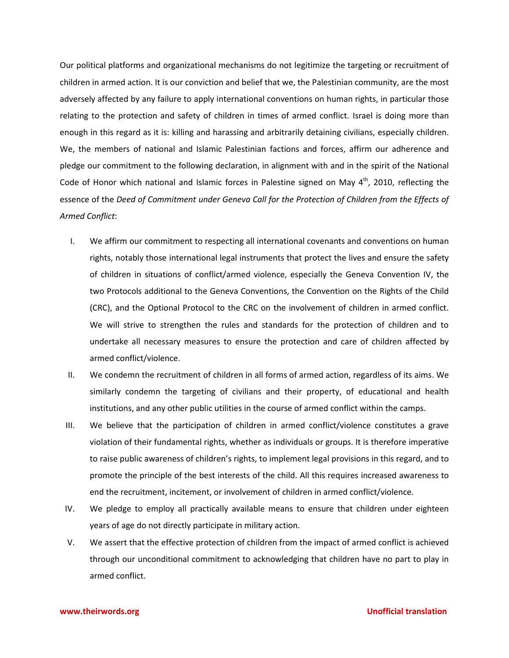Our political platforms and organizational mechanisms do not legitimize the targeting or recruitment of children in armed action. It is our conviction and belief that we, the Palestinian community, are the most adversely affected by any failure to apply international conventions on human rights, in particular those relating to the protection and safety of children in times of armed conflict. Israel is doing more than enough in this regard as it is: killing and harassing and arbitrarily detaining civilians, especially children. We, the members of national and Islamic Palestinian factions and forces, affirm our adherence and pledge our commitment to the following declaration, in alignment with and in the spirit of the National Code of Honor which national and Islamic forces in Palestine signed on May 4<sup>th</sup>, 2010, reflecting the essence of the *Deed of Commitment under Geneva Call for the Protection of Children from the Effects of Armed Conflict*:

- I. We affirm our commitment to respecting all international covenants and conventions on human rights, notably those international legal instruments that protect the lives and ensure the safety of children in situations of conflict/armed violence, especially the Geneva Convention IV, the two Protocols additional to the Geneva Conventions, the Convention on the Rights of the Child (CRC), and the Optional Protocol to the CRC on the involvement of children in armed conflict. We will strive to strengthen the rules and standards for the protection of children and to undertake all necessary measures to ensure the protection and care of children affected by armed conflict/violence.
- II. We condemn the recruitment of children in all forms of armed action, regardless of its aims. We similarly condemn the targeting of civilians and their property, of educational and health institutions, and any other public utilities in the course of armed conflict within the camps.
- III. We believe that the participation of children in armed conflict/violence constitutes a grave violation of their fundamental rights, whether as individuals or groups. It is therefore imperative to raise public awareness of children's rights, to implement legal provisions in this regard, and to promote the principle of the best interests of the child. All this requires increased awareness to end the recruitment, incitement, or involvement of children in armed conflict/violence.
- IV. We pledge to employ all practically available means to ensure that children under eighteen years of age do not directly participate in military action.
- V. We assert that the effective protection of children from the impact of armed conflict is achieved through our unconditional commitment to acknowledging that children have no part to play in armed conflict.